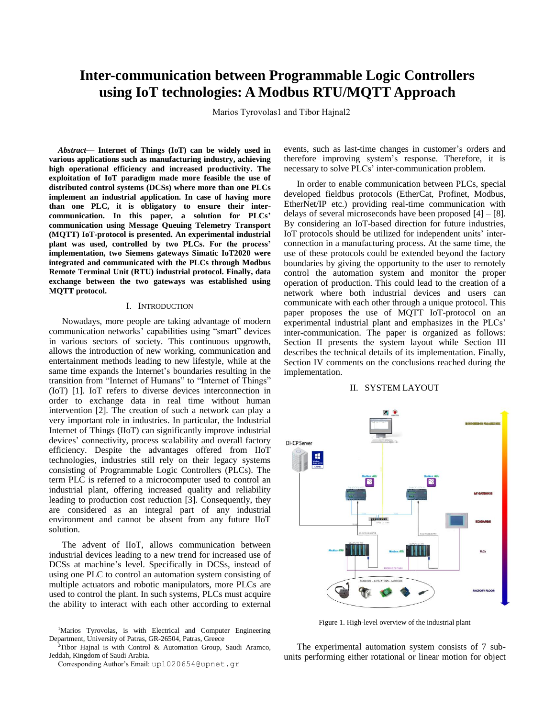# **Inter-communication between Programmable Logic Controllers using IoT technologies: A Modbus RTU/MQTT Approach**

Marios Tyrovolas1 and Tibor Hajnal2

*Abstract***— Internet of Things (IoT) can be widely used in various applications such as manufacturing industry, achieving high operational efficiency and increased productivity. The exploitation of IoT paradigm made more feasible the use of distributed control systems (DCSs) where more than one PLCs implement an industrial application. In case of having more than one PLC, it is obligatory to ensure their intercommunication. In this paper, a solution for PLCs' communication using Message Queuing Telemetry Transport (MQTT) IoT-protocol is presented. An experimental industrial plant was used, controlled by two PLCs. For the process' implementation, two Siemens gateways Simatic IoT2020 were integrated and communicated with the PLCs through Modbus Remote Terminal Unit (RTU) industrial protocol. Finally, data exchange between the two gateways was established using MQTT protocol.**

#### I. INTRODUCTION

Nowadays, more people are taking advantage of modern communication networks' capabilities using "smart" devices in various sectors of society. This continuous upgrowth, allows the introduction of new working, communication and entertainment methods leading to new lifestyle, while at the same time expands the Internet's boundaries resulting in the transition from "Internet of Humans" to "Internet of Things" (IoT) [1]. IoT refers to diverse devices interconnection in order to exchange data in real time without human intervention [2]. The creation of such a network can play a very important role in industries. In particular, the Industrial Internet of Things (IIoT) can significantly improve industrial devices' connectivity, process scalability and overall factory efficiency. Despite the advantages offered from IIoT technologies, industries still rely on their legacy systems consisting of Programmable Logic Controllers (PLCs). The term PLC is referred to a microcomputer used to control an industrial plant, offering increased quality and reliability leading to production cost reduction [3]. Consequently, they are considered as an integral part of any industrial environment and cannot be absent from any future IIoT solution.

The advent of IIoT, allows communication between industrial devices leading to a new trend for increased use of DCSs at machine's level. Specifically in DCSs, instead of using one PLC to control an automation system consisting of multiple actuators and robotic manipulators, more PLCs are used to control the plant. In such systems, PLCs must acquire the ability to interact with each other according to external events, such as last-time changes in customer's orders and therefore improving system's response. Therefore, it is necessary to solve PLCs' inter-communication problem.

In order to enable communication between PLCs, special developed fieldbus protocols (EtherCat, Profinet, Modbus, EtherNet/IP etc.) providing real-time communication with delays of several microseconds have been proposed [4] – [8]. By considering an IoT-based direction for future industries, IoT protocols should be utilized for independent units' interconnection in a manufacturing process. At the same time, the use of these protocols could be extended beyond the factory boundaries by giving the opportunity to the user to remotely control the automation system and monitor the proper operation of production. This could lead to the creation of a network where both industrial devices and users can communicate with each other through a unique protocol. Τhis paper proposes the use of MQTT IoT-protocol on an experimental industrial plant and emphasizes in the PLCs' inter-communication. The paper is organized as follows: Section II presents the system layout while Section III describes the technical details of its implementation. Finally, Section IV comments on the conclusions reached during the implementation.

### II. SYSTEM LAYOUT



Figure 1. High-level overview of the industrial plant

The experimental automation system consists of 7 subunits performing either rotational or linear motion for object

<sup>&</sup>lt;sup>1</sup>Marios Tyrovolas, is with Electrical and Computer Engineering Department, University of Patras, GR-26504, Patras, Greece

<sup>2</sup>Tibor Hajnal is with Control & Automation Group, Saudi Aramco, Jeddah, Kingdom of Saudi Arabia.

Corresponding Author's Email: [up1020654@upnet.gr](mailto:up1020654@upnet.gr)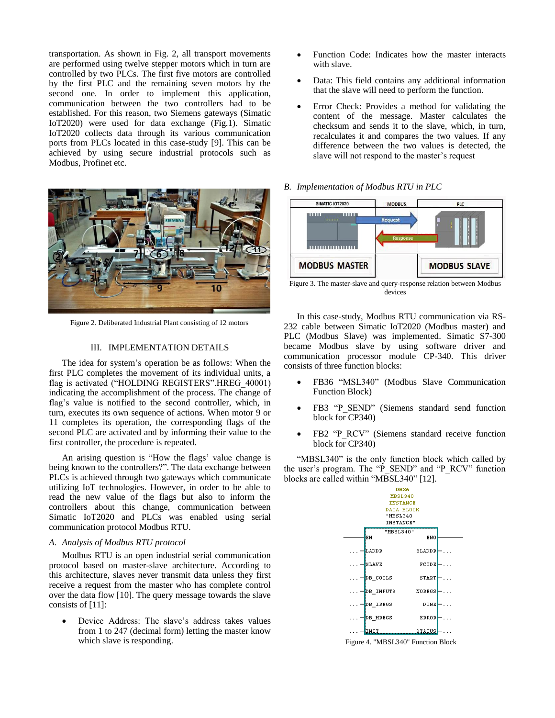transportation. As shown in Fig. 2, all transport movements are performed using twelve stepper motors which in turn are controlled by two PLCs. The first five motors are controlled by the first PLC and the remaining seven motors by the second one. In order to implement this application, communication between the two controllers had to be established. For this reason, two Siemens gateways (Simatic IoT2020) were used for data exchange (Fig.1). Simatic IoT2020 collects data through its various communication ports from PLCs located in this case-study [9]. This can be achieved by using secure industrial protocols such as Modbus, Profinet etc.



Figure 2. Deliberated Industrial Plant consisting of 12 motors

# III. IMPLEMENTATION DETAILS

The idea for system's operation be as follows: When the first PLC completes the movement of its individual units, a flag is activated ("HOLDING REGISTERS".HREG\_40001) indicating the accomplishment of the process. The change of flag's value is notified to the second controller, which, in turn, executes its own sequence of actions. When motor 9 or 11 completes its operation, the corresponding flags of the second PLC are activated and by informing their value to the first controller, the procedure is repeated.

An arising question is "How the flags' value change is being known to the controllers?". The data exchange between PLCs is achieved through two gateways which communicate utilizing IoT technologies. However, in order to be able to read the new value of the flags but also to inform the controllers about this change, communication between Simatic IoT2020 and PLCs was enabled using serial communication protocol Modbus RTU.

## *A. Analysis of Modbus RTU protocol*

Modbus RTU is an open industrial serial communication protocol based on master-slave architecture. According to this architecture, slaves never transmit data unless they first receive a request from the master who has complete control over the data flow [10]. The query message towards the slave consists of [11]:

 Device Address: The slave's address takes values from 1 to 247 (decimal form) letting the master know which slave is responding.

- Function Code: Indicates how the master interacts with slave.
- Data: This field contains any additional information that the slave will need to perform the function.
- Error Check: Provides a method for validating the content of the message. Master calculates the checksum and sends it to the slave, which, in turn, recalculates it and compares the two values. If any difference between the two values is detected, the slave will not respond to the master's request
- *B. Implementation of Modbus RTU in PLC*



Figure 3. The master-slave and query-response relation between Modbus devices

In this case-study, Modbus RTU communication via RS-232 cable between Simatic IoT2020 (Modbus master) and PLC (Modbus Slave) was implemented. Simatic S7-300 became Modbus slave by using software driver and communication processor module CP-340. This driver consists of three function blocks:

- FB36 "MSL340" (Modbus Slave Communication Function Block)
- FB3 "P\_SEND" (Siemens standard send function block for CP340)
- FB2 "P\_RCV" (Siemens standard receive function block for CP340)

"MBSL340" is the only function block which called by the user's program. The "P\_SEND" and "P\_RCV" function blocks are called within "MBSL340" [12].



Figure 4. "MBSL340" Function Block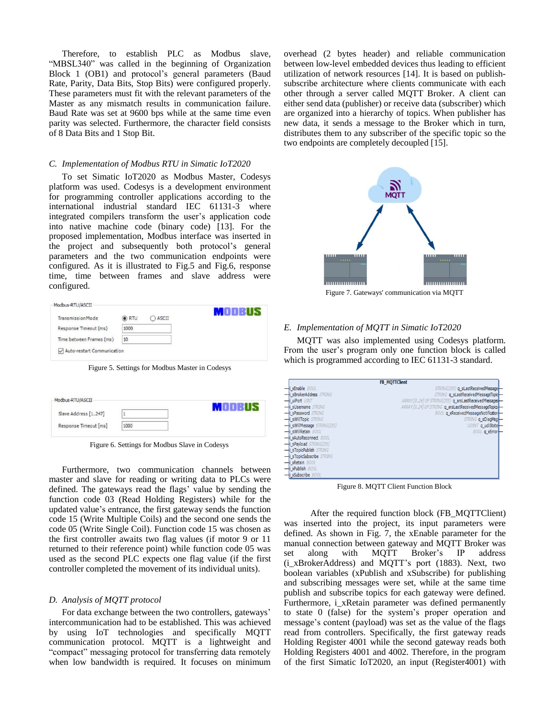Therefore, to establish PLC as Modbus slave, "MBSL340" was called in the beginning of Organization Block 1 (OB1) and protocol's general parameters (Baud Rate, Parity, Data Bits, Stop Bits) were configured properly. These parameters must fit with the relevant parameters of the Master as any mismatch results in communication failure. Baud Rate was set at 9600 bps while at the same time even parity was selected. Furthermore, the character field consists of 8 Data Bits and 1 Stop Bit.

# *C. Implementation of Modbus RTU in Simatic IoT2020*

To set Simatic IoT2020 as Modbus Master, Codesys platform was used. Codesys is a development environment for programming controller applications according to the international industrial standard IEC 61131-3 where integrated compilers transform the user's application code into native machine code (binary code) [13]. For the proposed implementation, Modbus interface was inserted in the project and subsequently both protocol's general parameters and the two communication endpoints were configured. As it is illustrated to Fig.5 and Fig.6, response time, time between frames and slave address were configured.

| TransmissionMode         | O RTU | $\bigcap$ ASCII | MODBUS |
|--------------------------|-------|-----------------|--------|
| Response Timeout (ms)    | 1000  |                 |        |
| Time between Frames (ms) | 10    |                 |        |

Figure 5. Settings for Modbus Master in Codesys

| Modbus-RTU/ASCII      |      |  |
|-----------------------|------|--|
| Slave Address [1247]  |      |  |
| Response Timeout [ms] | 1000 |  |

Figure 6. Settings for Modbus Slave in Codesys

Furthermore, two communication channels between master and slave for reading or writing data to PLCs were defined. The gateways read the flags' value by sending the function code 03 (Read Holding Registers) while for the updated value's entrance, the first gateway sends the function code 15 (Write Multiple Coils) and the second one sends the code 05 (Write Single Coil). Function code 15 was chosen as the first controller awaits two flag values (if motor 9 or 11 returned to their reference point) while function code 05 was used as the second PLC expects one flag value (if the first controller completed the movement of its individual units).

### *D. Analysis of MQTT protocol*

For data exchange between the two controllers, gateways' intercommunication had to be established. This was achieved by using IoT technologies and specifically MQTT communication protocol. MQTT is a lightweight and "compact" messaging protocol for transferring data remotely when low bandwidth is required. It focuses on minimum overhead (2 bytes header) and reliable communication between low-level embedded devices thus leading to efficient utilization of network resources [14]. It is based on publishsubscribe architecture where clients communicate with each other through a server called MQTT Broker. A client can either send data (publisher) or receive data (subscriber) which are organized into a hierarchy of topics. When publisher has new data, it sends a message to the Broker which in turn, distributes them to any subscriber of the specific topic so the two endpoints are completely decoupled [15].



Figure 7. Gateways' communication via MQTT

## *E. Implementation of MQTT in Simatic IoT2020*

MQTT was also implemented using Codesys platform. From the user's program only one function block is called which is programmed according to IEC 61131-3 standard.

|                                             | <b>FB_MQTTClient</b>                                 |
|---------------------------------------------|------------------------------------------------------|
| -i xEnable BOOL                             | STRING(255) q sLastReceivedMessage                   |
| -i sBrokerAddress STRING                    | STRING q_sLastReceivedMessageTopic                   |
| $\frac{1}{\sqrt{2}}$ uiPort $UNT$           | ARRAY [024] OF STRING(255) q_arsLastReceivedMessages |
| -i sUsername STRING                         | ARRAY [024] OF STRING q_arsLastReceivedMessageTopics |
| $\frac{1}{\sqrt{2}}$ i sPassword $STRING$   | BOOL q xReceivedMessageNotification                  |
| $\frac{1}{\sqrt{2}}$ swill Topic STRING     | STRING q_sDiagMsg                                    |
| -i sWillMessage STRING(255)                 | UDINT q_udiState                                     |
| - i sWillRetain BOOL                        | <b>BOOL</b> q_xError                                 |
| -i xAutoReconnect BOOL                      |                                                      |
| i sPayload STRING(255)                      |                                                      |
| -i sTopicPublish STRING                     |                                                      |
| -i sTopicSubscribe STRING                   |                                                      |
| $\frac{-i}{\sqrt{2}}$ xRetain $\frac{B}{D}$ |                                                      |
| -i xPublish BOOL                            |                                                      |
| $\frac{-i}{\sqrt{2}}$ xSubscribe $BOOL$     |                                                      |

Figure 8. MQTT Client Function Block

 After the required function block (FB\_MQTTClient) was inserted into the project, its input parameters were defined. As shown in Fig. 7, the xEnable parameter for the manual connection between gateway and MQTT Broker was set along with MQTT Broker's IP address (i\_xBrokerAddress) and MQTT's port (1883). Next, two boolean variables (xPublish and xSubscribe) for publishing and subscribing messages were set, while at the same time publish and subscribe topics for each gateway were defined. Furthermore, i\_xRetain parameter was defined permanently to state 0 (false) for the system's proper operation and message's content (payload) was set as the value of the flags read from controllers. Specifically, the first gateway reads Holding Register 4001 while the second gateway reads both Holding Registers 4001 and 4002. Therefore, in the program of the first Simatic IoT2020, an input (Register4001) with